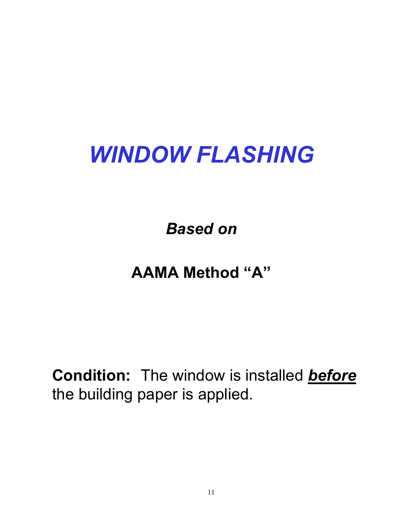# *WINDOW FLASHING*

*Based on*

## **AAMA Method "A"**

**Condition:** The window is installed *before*  the building paper is applied.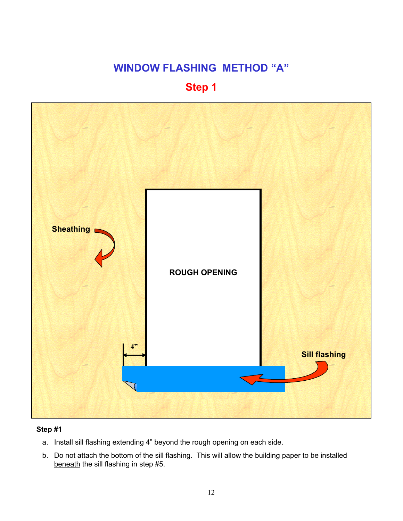#### **Step 1**



- a. Install sill flashing extending 4" beyond the rough opening on each side.
- b. Do not attach the bottom of the sill flashing. This will allow the building paper to be installed beneath the sill flashing in step #5.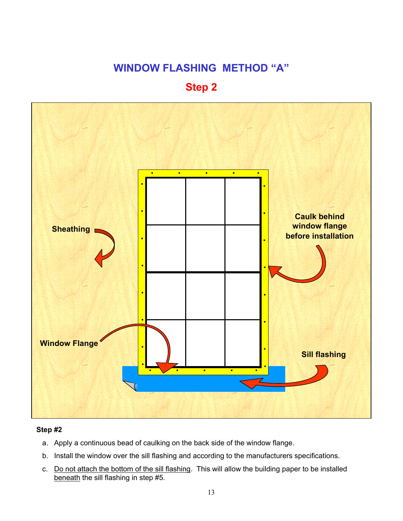#### **Step 2**



- a. Apply a continuous bead of caulking on the back side of the window flange.
- b. Install the window over the sill flashing and according to the manufacturers specifications.
- c. Do not attach the bottom of the sill flashing. This will allow the building paper to be installed beneath the sill flashing in step #5.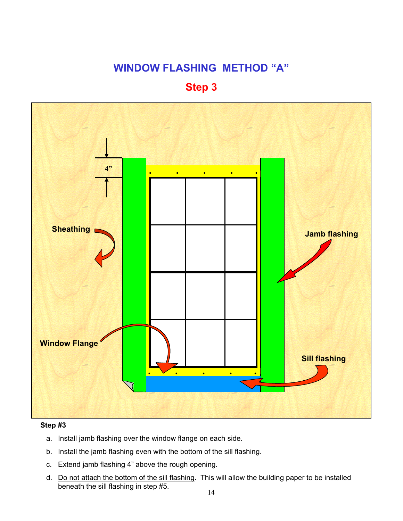#### **Step 3**



- a. Install jamb flashing over the window flange on each side.
- b. Install the jamb flashing even with the bottom of the sill flashing.
- c. Extend jamb flashing 4" above the rough opening.
- d. Do not attach the bottom of the sill flashing. This will allow the building paper to be installed beneath the sill flashing in step #5.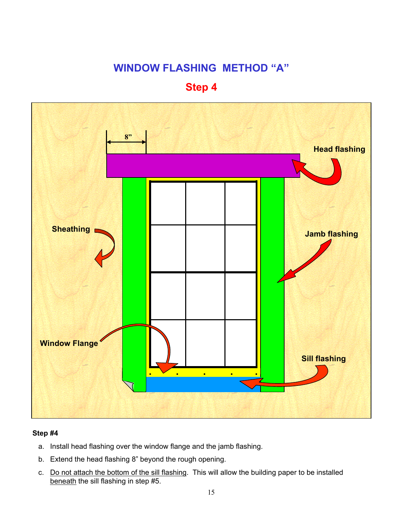#### **Step 4**



- a. Install head flashing over the window flange and the jamb flashing.
- b. Extend the head flashing 8" beyond the rough opening.
- c. Do not attach the bottom of the sill flashing. This will allow the building paper to be installed beneath the sill flashing in step #5.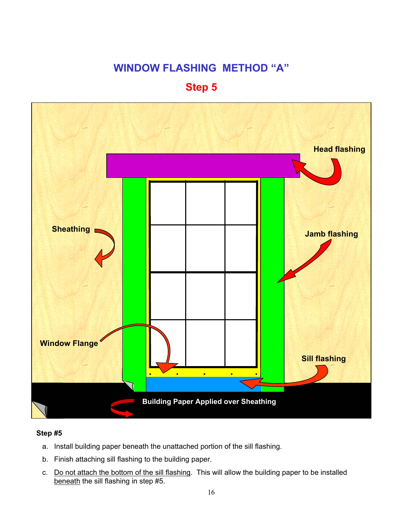### **Step 5**



- a. Install building paper beneath the unattached portion of the sill flashing.
- b. Finish attaching sill flashing to the building paper.
- c. Do not attach the bottom of the sill flashing. This will allow the building paper to be installed beneath the sill flashing in step #5.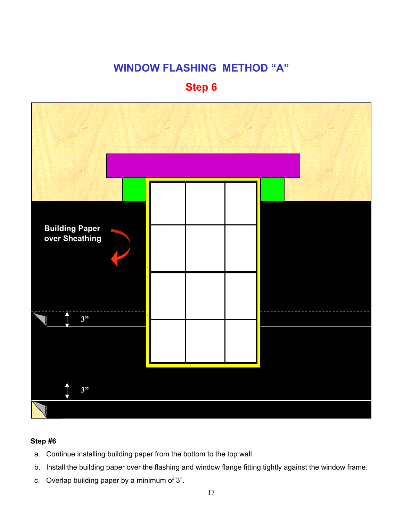#### **Step 6**



- a. Continue installing building paper from the bottom to the top wall.
- b. Install the building paper over the flashing and window flange fitting tightly against the window frame.
- c. Overlap building paper by a minimum of 3".